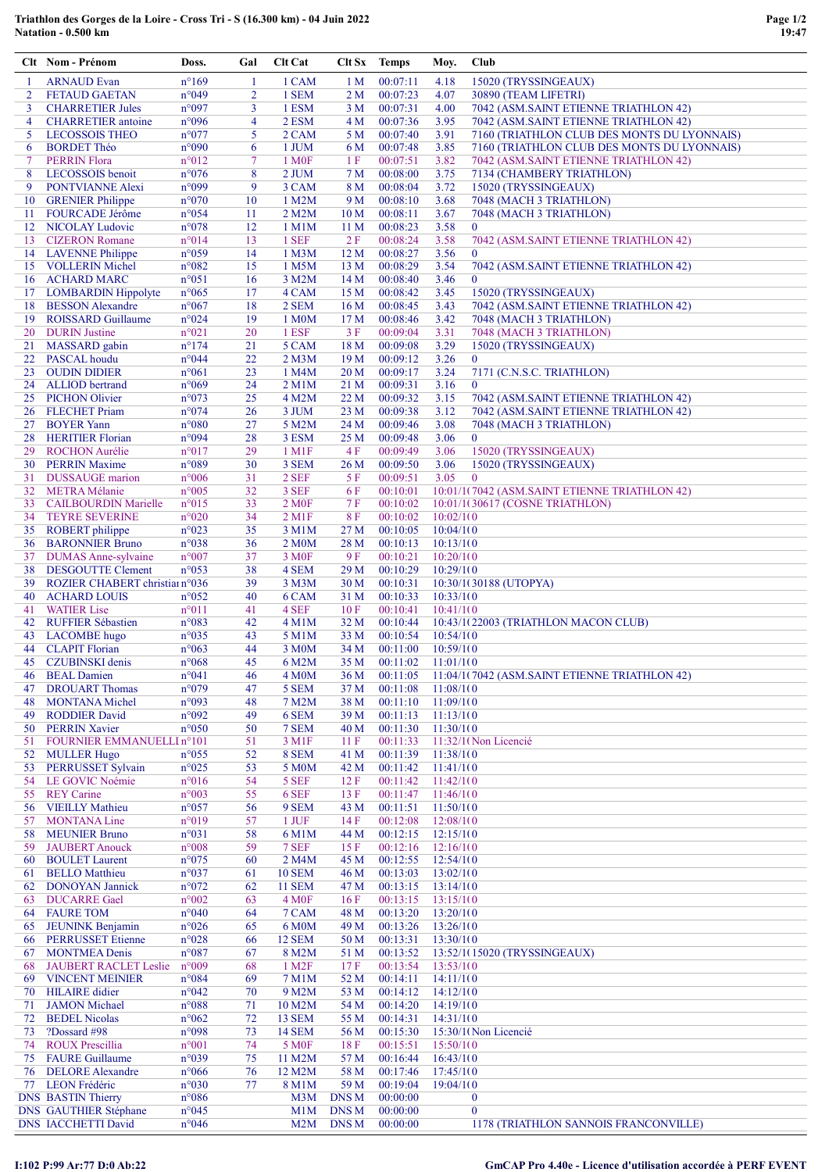## Triathlon des Gorges de la Loire - Cross Tri - S (16.300 km) - 04 Juin 2022 Natation - 0.500 km

|                 | Clt Nom - Prénom                                 | Doss.                            | Gal            | Clt Cat                     | Clt Sx                  | <b>Temps</b>         | Moy.                   | Club                                                                                       |
|-----------------|--------------------------------------------------|----------------------------------|----------------|-----------------------------|-------------------------|----------------------|------------------------|--------------------------------------------------------------------------------------------|
| -1              | <b>ARNAUD</b> Evan                               | $n^{\circ}169$                   | -1             | 1 CAM                       | 1 <sub>M</sub>          | 00:07:11             | 4.18                   | 15020 (TRYSSINGEAUX)                                                                       |
| 2               | <b>FETAUD GAETAN</b>                             | n°049                            | $\overline{2}$ | 1 SEM                       | 2 M                     | 00:07:23             | 4.07                   | 30890 (TEAM LIFETRI)                                                                       |
| 3               | <b>CHARRETIER Jules</b>                          | n°097                            | 3              | 1 ESM                       | 3 <sub>M</sub>          | 00:07:31             | 4.00                   | 7042 (ASM.SAINT ETIENNE TRIATHLON 42)                                                      |
| 4               | <b>CHARRETIER</b> antoine                        | n°096                            | 4              | 2 ESM                       | 4 M                     | 00:07:36             | 3.95                   | 7042 (ASM.SAINT ETIENNE TRIATHLON 42)                                                      |
| 5<br>6          | <b>LECOSSOIS THEO</b><br><b>BORDET Théo</b>      | $n^{\circ}077$<br>n°090          | 5<br>6         | 2 CAM<br>1 JUM              | 5 M<br>6 M              | 00:07:40<br>00:07:48 | 3.91<br>3.85           | 7160 (TRIATHLON CLUB DES MONTS DU LYONNAIS)<br>7160 (TRIATHLON CLUB DES MONTS DU LYONNAIS) |
| 7               | <b>PERRIN Flora</b>                              | $n^{\circ}012$                   | $\tau$         | 1 M <sub>OF</sub>           | 1 F                     | 00:07:51             | 3.82                   | 7042 (ASM.SAINT ETIENNE TRIATHLON 42)                                                      |
| 8               | LECOSSOIS benoit                                 | $n^{\circ}076$                   | 8              | 2 JUM                       | 7 M                     | 00:08:00             | 3.75                   | 7134 (CHAMBERY TRIATHLON)                                                                  |
| 9               | PONTVIANNE Alexi                                 | n°099                            | 9              | 3 CAM                       | 8 M                     | 00:08:04             | 3.72                   | 15020 (TRYSSINGEAUX)                                                                       |
| 10              | <b>GRENIER Philippe</b>                          | $n^{\circ}070$                   | 10             | 1 M2M                       | 9 M                     | 00:08:10             | 3.68                   | 7048 (MACH 3 TRIATHLON)                                                                    |
| 11              | FOURCADE Jérôme                                  | $n^{\circ}054$                   | 11             | 2 M2M                       | 10 <sub>M</sub>         | 00:08:11             | 3.67                   | 7048 (MACH 3 TRIATHLON)                                                                    |
| 12 <sup>2</sup> | <b>NICOLAY Ludovic</b>                           | n°078                            | 12             | 1 M1M                       | 11 <sub>M</sub>         | 00:08:23             | 3.58                   | $\bf{0}$                                                                                   |
| 13              | <b>CIZERON</b> Romane                            | $n^{\circ}014$                   | 13             | 1 SEF                       | 2 F                     | 00:08:24             | 3.58                   | 7042 (ASM.SAINT ETIENNE TRIATHLON 42)<br>$\mathbf{0}$                                      |
| 14              | <b>LAVENNE</b> Philippe<br>15 VOLLERIN Michel    | $n^{\circ}059$<br>n°082          | 14<br>15       | 1 M <sub>3</sub> M<br>1 M5M | 12 <sub>M</sub><br>13 M | 00:08:27<br>00:08:29 | 3.56<br>3.54           | 7042 (ASM.SAINT ETIENNE TRIATHLON 42)                                                      |
| 16              | <b>ACHARD MARC</b>                               | $n^{\circ}051$                   | 16             | 3 M2M                       | 14 <sub>M</sub>         | 00:08:40             | 3.46                   | $\mathbf{0}$                                                                               |
|                 | 17 LOMBARDIN Hippolyte                           | $n^{\circ}065$                   | 17             | 4 CAM                       | 15 M                    | 00:08:42             | 3.45                   | 15020 (TRYSSINGEAUX)                                                                       |
| 18              | <b>BESSON</b> Alexandre                          | $n^{\circ}067$                   | 18             | 2 SEM                       | 16 <sub>M</sub>         | 00:08:45             | 3.43                   | 7042 (ASM.SAINT ETIENNE TRIATHLON 42)                                                      |
| 19              | <b>ROISSARD Guillaume</b>                        | $n^{\circ}024$                   | 19             | 1 M0M                       | 17 <sub>M</sub>         | 00:08:46             | 3.42                   | 7048 (MACH 3 TRIATHLON)                                                                    |
| 20              | <b>DURIN</b> Justine                             | $n^{\circ}021$                   | 20             | 1 ESF                       | 3F                      | 00:09:04             | 3.31                   | 7048 (MACH 3 TRIATHLON)                                                                    |
| 21              | MASSARD gabin                                    | $n^{\circ}174$                   | 21             | 5 CAM                       | 18 M                    | 00:09:08             | 3.29                   | 15020 (TRYSSINGEAUX)                                                                       |
| 23              | 22 PASCAL houdu<br><b>OUDIN DIDIER</b>           | $n^{\circ}044$<br>$n^{\circ}061$ | 22<br>23       | 2 M3M<br>1 M4M              | 19 M<br>20 <sub>M</sub> | 00:09:12<br>00:09:17 | 3.26<br>3.24           | $\bf{0}$<br>7171 (C.N.S.C. TRIATHLON)                                                      |
| 24              | <b>ALLIOD</b> bertrand                           | n°069                            | 24             | $2$ M $1$ M                 | 21 M                    | 00:09:31             | 3.16                   | $\mathbf{0}$                                                                               |
| 25              | <b>PICHON Olivier</b>                            | $n^{\circ}073$                   | 25             | 4 M2M                       | 22 M                    | 00:09:32             | 3.15                   | 7042 (ASM.SAINT ETIENNE TRIATHLON 42)                                                      |
| 26              | <b>FLECHET</b> Priam                             | $n^{\circ}074$                   | 26             | 3 JUM                       | 23 M                    | 00:09:38             | 3.12                   | 7042 (ASM.SAINT ETIENNE TRIATHLON 42)                                                      |
| 27              | <b>BOYER Yann</b>                                | $n^{\circ}080$                   | 27             | 5 M2M                       | 24 M                    | 00:09:46             | 3.08                   | 7048 (MACH 3 TRIATHLON)                                                                    |
| 28              | <b>HERITIER Florian</b>                          | n°094                            | 28             | 3 ESM                       | 25 M                    | 00:09:48             | 3.06                   | $\mathbf{0}$                                                                               |
| 29              | <b>ROCHON Aurélie</b>                            | $n^{\circ}017$                   | 29             | $1 \text{ M1F}$             | 4 F                     | 00:09:49             | 3.06                   | 15020 (TRYSSINGEAUX)                                                                       |
| 30              | <b>PERRIN Maxime</b>                             | n°089                            | 30             | 3 SEM                       | 26 <sub>M</sub>         | 00:09:50             | 3.06                   | 15020 (TRYSSINGEAUX)                                                                       |
| 31<br>32        | <b>DUSSAUGE</b> marion<br><b>METRA Mélanie</b>   | $n^{\circ}006$<br>$n^{\circ}005$ | 31<br>32       | 2 SEF<br>3 SEF              | 5 F<br>6 F              | 00:09:51<br>00:10:01 | 3.05                   | $\mathbf{0}$<br>10:01/1(7042 (ASM.SAINT ETIENNE TRIATHLON 42)                              |
| 33              | <b>CAILBOURDIN Marielle</b>                      | $n^{\circ}015$                   | 33             | 2 M <sub>OF</sub>           | 7 F                     | 00:10:02             |                        | 10:01/1(30617 (COSNE TRIATHLON)                                                            |
| 34              | <b>TEYRE SEVERINE</b>                            | $n^{\circ}020$                   | 34             | $2$ M1F                     | 8F                      | 00:10:02             | 10:02/10               |                                                                                            |
| 35              | ROBERT philippe                                  | $n^{\circ}023$                   | 35             | 3 M1M                       | 27 M                    | 00:10:05             | 10:04/10               |                                                                                            |
| 36              | <b>BARONNIER Bruno</b>                           | n°038                            | 36             | 2 M <sub>0</sub> M          | 28 M                    | 00:10:13             | 10:13/10               |                                                                                            |
| 37              | DUMAS Anne-sylvaine                              | $n^{\circ}007$                   | 37             | 3 M <sub>OF</sub>           | 9 F                     | 00:10:21             | 10:20/10               |                                                                                            |
| 38              | <b>DESGOUTTE Clement</b>                         | $n^{\circ}053$                   | 38             | 4 SEM                       | 29 M                    | 00:10:29             | 10:29/10               |                                                                                            |
| 39              | ROZIER CHABERT christiann°036                    |                                  | 39             | 3 M3M                       | 30 <sub>M</sub>         | 00:10:31             |                        | 10:30/1(30188 (UTOPYA)                                                                     |
| 40<br>41        | <b>ACHARD LOUIS</b><br><b>WATIER Lise</b>        | $n^{\circ}052$<br>$n^{\circ}011$ | 40<br>41       | 6 CAM<br>4 SEF              | 31 M<br>10F             | 00:10:33<br>00:10:41 | 10:33/10<br>10:41/1(0) |                                                                                            |
| 42              | <b>RUFFIER Sébastien</b>                         | n°083                            | 42             | $4$ M $1$ M                 | 32 M                    | 00:10:44             |                        | 10:43/1(22003 (TRIATHLON MACON CLUB)                                                       |
| 43              | <b>LACOMBE</b> hugo                              | n°035                            | 43             | 5 M1M                       | 33 M                    | 00:10:54             | 10:54/10               |                                                                                            |
| 44              | <b>CLAPIT Florian</b>                            | $n^{\circ}063$                   | 44             | 3 M0M                       | 34 M                    | 00:11:00             | 10:59/10               |                                                                                            |
| 45              | CZUBINSKI denis                                  | $n^{\circ}068$                   | 45             | 6 M2M                       | 35 M                    | 00:11:02             | 11:01/10               |                                                                                            |
| 46              | <b>BEAL</b> Damien                               | $n^{\circ}041$                   | 46             | 4 M <sub>0</sub> M          | 36 M                    | 00:11:05             |                        | 11:04/1(7042 (ASM.SAINT ETIENNE TRIATHLON 42)                                              |
| 47              | <b>DROUART Thomas</b>                            | n°079                            | 47             | 5 SEM                       | 37 M                    | 00:11:08             | 11:08/10               |                                                                                            |
| 48              | <b>MONTANA Michel</b><br><b>RODDIER David</b>    | n°093<br>n°092                   | 48<br>49       | 7 M2M<br>6 SEM              | 38 M<br>39 M            | 00:11:10<br>00:11:13 | 11:09/100<br>11:13/10  |                                                                                            |
| 49<br>50        | <b>PERRIN Xavier</b>                             | $n^{\circ}050$                   | 50             | 7 SEM                       | 40 M                    | 00:11:30             | 11:30/10               |                                                                                            |
| 51              | FOURNIER EMMANUELLI n°101                        |                                  | 51             | 3 M1F                       | 11 F                    | 00:11:33             |                        | 11:32/1(Non Licencié                                                                       |
| 52              | <b>MULLER Hugo</b>                               | $n^{\circ}055$                   | 52             | 8 SEM                       | 41 M                    | 00:11:39             | 11:38/10               |                                                                                            |
| 53              | PERRUSSET Sylvain                                | $n^{\circ}025$                   | 53             | 5 M0M                       | 42 M                    | 00:11:42             | 11:41/10               |                                                                                            |
| 54              | LE GOVIC Noémie                                  | $n^{\circ}016$                   | 54             | 5 SEF                       | 12F                     | 00:11:42             | 11:42/10               |                                                                                            |
| 55              | <b>REY</b> Carine                                | $n^{\circ}003$                   | 55             | 6 SEF                       | 13F                     | 00:11:47             | 11:46/1(0)             |                                                                                            |
| 56              | <b>VIEILLY Mathieu</b>                           | $n^{\circ}057$                   | 56             | 9 SEM                       | 43 M                    | 00:11:51             | 11:50/10               |                                                                                            |
| 57<br>58        | <b>MONTANA Line</b><br><b>MEUNIER Bruno</b>      | n°019<br>$n^{\circ}031$          | 57<br>58       | 1 JUF<br>6 M1M              | 14 F<br>44 M            | 00:12:08<br>00:12:15 | 12:08/10<br>12:15/10   |                                                                                            |
| 59              | <b>JAUBERT</b> Anouck                            | $n^{\circ}008$                   | 59             | 7 SEF                       | 15F                     | 00:12:16             | 12:16/10               |                                                                                            |
| 60              | <b>BOULET</b> Laurent                            | $n^{\circ}075$                   | 60             | 2 M4M                       | 45 M                    | 00:12:55             | 12:54/10               |                                                                                            |
| 61              | <b>BELLO</b> Matthieu                            | $n^{\circ}037$                   | 61             | <b>10 SEM</b>               | 46 M                    | 00:13:03             | 13:02/10               |                                                                                            |
| 62              | <b>DONOYAN Jannick</b>                           | $n^{\circ}072$                   | 62             | <b>11 SEM</b>               | 47 M                    | 00:13:15             | 13:14/10               |                                                                                            |
| 63              | <b>DUCARRE</b> Gael                              | $n^{\circ}002$                   | 63             | 4 M <sub>OF</sub>           | 16F                     | 00:13:15             | 13:15/10               |                                                                                            |
| 64              | <b>FAURE TOM</b>                                 | $n^{\circ}040$                   | 64             | 7 CAM                       | 48 M                    | 00:13:20             | 13:20/10               |                                                                                            |
| 65              | <b>JEUNINK Benjamin</b>                          | $n^{\circ}026$                   | 65             | 6 M0M                       | 49 M                    | 00:13:26             | 13:26/10               |                                                                                            |
| 66<br>67        | <b>PERRUSSET Etienne</b><br><b>MONTMEA Denis</b> | $n^{\circ}028$<br>n°087          | 66<br>67       | <b>12 SEM</b><br>8 M2M      | 50 M<br>51 M            | 00:13:31<br>00:13:52 | 13:30/10               | 13:52/1(15020 (TRYSSINGEAUX)                                                               |
| 68              | JAUBERT RACLET Leslie                            | $n^{\circ}009$                   | 68             | 1 M2F                       | 17F                     | 00:13:54             | 13:53/10               |                                                                                            |
| 69              | <b>VINCENT MEINIER</b>                           | n°084                            | 69             | 7 M1M                       | 52 M                    | 00:14:11             | 14:11/10               |                                                                                            |
| 70              | <b>HILAIRE</b> didier                            | n°042                            | 70             | 9 M2M                       | 53 M                    | 00:14:12             | 14:12/10               |                                                                                            |
| 71              | <b>JAMON</b> Michael                             | $n^{\circ}088$                   | 71             | 10 M2M                      | 54 M                    | 00:14:20             | 14:19/10               |                                                                                            |
| 72              | <b>BEDEL Nicolas</b>                             | $n^{\circ}062$                   | 72             | <b>13 SEM</b>               | 55 M                    | 00:14:31             | 14:31/10               |                                                                                            |
| 73              | ?Dossard #98                                     | n°098                            | 73             | <b>14 SEM</b>               | 56 M                    | 00:15:30             |                        | 15:30/1(Non Licencié                                                                       |
| 74              | <b>ROUX Prescillia</b><br><b>FAURE</b> Guillaume | $n^{\circ}001$                   | 74<br>75       | 5 M <sub>OF</sub><br>11 M2M | 18F<br>57 M             | 00:15:51<br>00:16:44 | 15:50/10               |                                                                                            |
| 75<br>76        | <b>DELORE</b> Alexandre                          | n°039<br>$n^{\circ}066$          | 76             | 12 M2M                      | 58 M                    | 00:17:46             | 16:43/10<br>17:45/10   |                                                                                            |
| 77              | <b>LEON Frédéric</b>                             | n°030                            | 77             | 8 M1M                       | 59 M                    | 00:19:04             | 19:04/10               |                                                                                            |
|                 | <b>DNS BASTIN Thierry</b>                        | $n^{\circ}086$                   |                | M3M                         | <b>DNSM</b>             | 00:00:00             |                        | $\bf{0}$                                                                                   |
|                 | DNS GAUTHIER Stéphane                            | $n^{\circ}045$                   |                | M1M                         | <b>DNSM</b>             | 00:00:00             |                        | $\mathbf{0}$                                                                               |
|                 | <b>DNS IACCHETTI David</b>                       | $n^{\circ}046$                   |                | M2M                         | <b>DNSM</b>             | 00:00:00             |                        | 1178 (TRIATHLON SANNOIS FRANCONVILLE)                                                      |